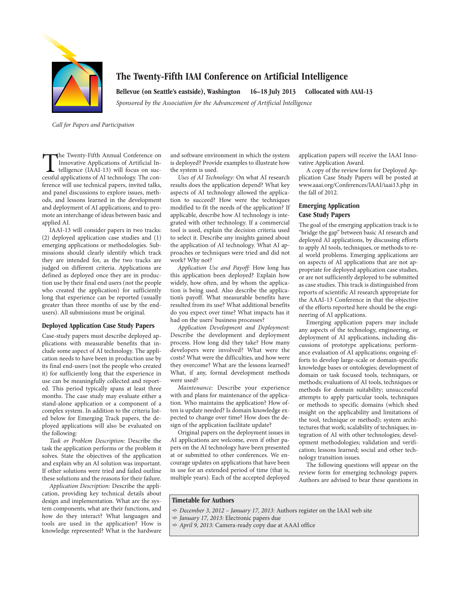

# **The Twenty-Fifth IAAI Conference on Artificial Intelligence**

**Bellevue (on Seattle's eastside), Washington 16–18 July 2013 Collocated with AAAI-13** *Sponsored by the Association for the Advancement of Artificial Intelligence*

*Call for Papers and Participation*

The Twenty-Fifth Annual Conference on Innovative Applications of Artificial Intelligence (IAAI-13) will focus on successful applications of AI technology. The conference will use technical papers, invited talks, and panel discussions to explore issues, methods, and lessons learned in the development and deployment of AI applications; and to promote an interchange of ideas between basic and applied AI.

IAAI-13 will consider papers in two tracks: (2) deployed application case studies and (1) emerging applications or methodologies. Submissions should clearly identify which track they are intended for, as the two tracks are judged on different criteria. Applications are defined as deployed once they are in production use by their final end users (not the people who created the application) for sufficiently long that experience can be reported (usually greater than three months of use by the endusers). All submissions must be original.

#### **Deployed Application Case Study Papers**

Case-study papers must describe deployed applications with measurable benefits that include some aspect of AI technology. The application needs to have been in production use by its final end-users (not the people who created it) for sufficiently long that the experience in use can be meaningfully collected and reported. This period typically spans at least three months. The case study may evaluate either a stand-alone application or a component of a complex system. In addition to the criteria listed below for Emerging Track papers, the deployed applications will also be evaluated on the following:

*Task or Problem Description:* Describe the task the application performs or the problem it solves. State the objectives of the application and explain why an AI solution was important. If other solutions were tried and failed outline these solutions and the reasons for their failure.

*Application Description:* Describe the application, providing key technical details about design and implementation. What are the system components, what are their functions, and how do they interact? What languages and tools are used in the application? How is knowledge represented? What is the hardware and software environment in which the system is deployed? Provide examples to illustrate how the system is used.

*Uses of AI Technology:* On what AI research results does the application depend? What key aspects of AI technology allowed the application to succeed? How were the techniques modified to fit the needs of the application? If applicable, describe how AI technology is integrated with other technology. If a commercial tool is used, explain the decision criteria used to select it. Describe any insights gained about the application of AI technology. What AI approaches or techniques were tried and did not work? Why not?

*Application Use and Payoff:* How long has this application been deployed? Explain how widely, how often, and by whom the application is being used. Also describe the application's payoff. What measurable benefits have resulted from its use? What additional benefits do you expect over time? What impacts has it had on the users' business processes?

*Application Development and Deployment:* Describe the development and deployment process. How long did they take? How many developers were involved? What were the costs? What were the difficulties, and how were they overcome? What are the lessons learned? What, if any, formal development methods were used?

*Maintenance:* Describe your experience with and plans for maintenance of the application. Who maintains the application? How often is update needed? Is domain knowledge expected to change over time? How does the design of the application facilitate update?

Original papers on the deployment issues in AI applications are welcome, even if other papers on the AI technology have been presented at or submitted to other conferences. We encourage updates on applications that have been in use for an extended period of time (that is, multiple years). Each of the accepted deployed application papers will receive the IAAI Innovative Application Award.

A copy of the review form for Deployed Application Case Study Papers will be posted at www.aaai.org/Conferences/IAAI/iaai13.php in the fall of 2012.

# **Emerging Application Case Study Papers**

The goal of the emerging application track is to "bridge the gap" between basic AI research and deployed AI applications, by discussing efforts to apply AI tools, techniques, or methods to real world problems. Emerging applications are on aspects of AI applications that are not appropriate for deployed application case studies, or are not sufficiently deployed to be submitted as case studies. This track is distinguished from reports of scientific AI research appropriate for the AAAI-13 Conference in that the objective of the efforts reported here should be the engineering of AI applications.

Emerging application papers may include any aspects of the technology, engineering, or deployment of AI applications, including discussions of prototype applications; performance evaluation of AI applications; ongoing efforts to develop large-scale or domain-specific knowledge bases or ontologies; development of domain or task focused tools, techniques, or methods; evaluations of AI tools, techniques or methods for domain suitability; unsuccessful attempts to apply particular tools, techniques or methods to specific domains (which shed insight on the applicability and limitations of the tool, technique or method); system architectures that work; scalability of techniques; integration of AI with other technologies; development methodologies; validation and verification; lessons learned; social and other technology transition issues.

The following questions will appear on the review form for emerging technology papers. Authors are advised to bear these questions in

### **Timetable for Authors**

- *December 3, 2012 – January 17, 2013:* Authors register on the IAAI web site
- *January 17, 2013:* Electronic papers due
- *April 9, 2013:* Camera-ready copy due at AAAI office